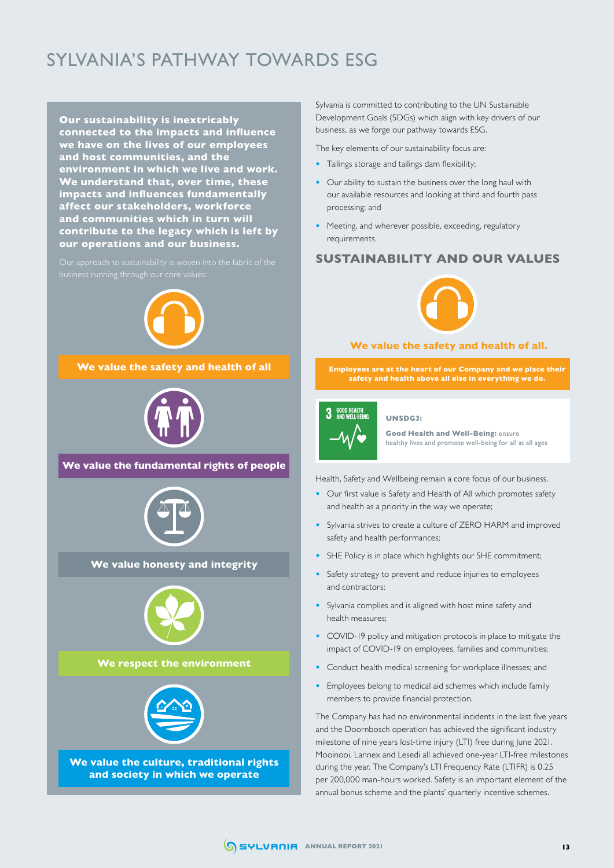## SYLVANIA'S PATHWAY TOWARDS ESG

**Our sustainability is inextricably connected to the impacts and influence we have on the lives of our employees and host communities, and the environment in which we live and work. We understand that, over time, these impacts and influences fundamentally affect our stakeholders, workforce and communities which in turn will contribute to the legacy which is left by our operations and our business.**



## **We value the safety and health of all**



## **We value the fundamental rights of people**



## **We value honesty and integrity**



## **We respect the environment**



**We value the culture, traditional rights and society in which we operate**

Sylvania is committed to contributing to the UN Sustainable Development Goals (SDGs) which align with key drivers of our business, as we forge our pathway towards ESG.

The key elements of our sustainability focus are:

- **•** Tailings storage and tailings dam flexibility;
- **•** Our ability to sustain the business over the long haul with our available resources and looking at third and fourth pass processing; and
- **•** Meeting, and wherever possible, exceeding, regulatory requirements.

## **SUSTAINABILITY AND OUR VALUES**



## **We value the safety and health of all.**

**Employees are at the heart of our Company and we place their safety and health above all else in everything we do.**

# **3** GOOD HEALTH

#### **UNSDG3:**

**Good Health and Well-Being:** ensure healthy lives and promote well-being for all at all ages

Health, Safety and Wellbeing remain a core focus of our business.

- **•** Our first value is Safety and Health of All which promotes safety and health as a priority in the way we operate;
- **•** Sylvania strives to create a culture of ZERO HARM and improved safety and health performances;
- **•** SHE Policy is in place which highlights our SHE commitment;
- **•** Safety strategy to prevent and reduce injuries to employees and contractors;
- **•** Sylvania complies and is aligned with host mine safety and health measures;
- **•** COVID-19 policy and mitigation protocols in place to mitigate the impact of COVID-19 on employees, families and communities;
- **•** Conduct health medical screening for workplace illnesses; and
- **•** Employees belong to medical aid schemes which include family members to provide financial protection.

The Company has had no environmental incidents in the last five years and the Doornbosch operation has achieved the significant industry milestone of nine years lost-time injury (LTI) free during June 2021. Mooinooi, Lannex and Lesedi all achieved one-year LTI-free milestones during the year. The Company's LTI Frequency Rate (LTIFR) is 0.25 per 200,000 man-hours worked. Safety is an important element of the annual bonus scheme and the plants' quarterly incentive schemes.

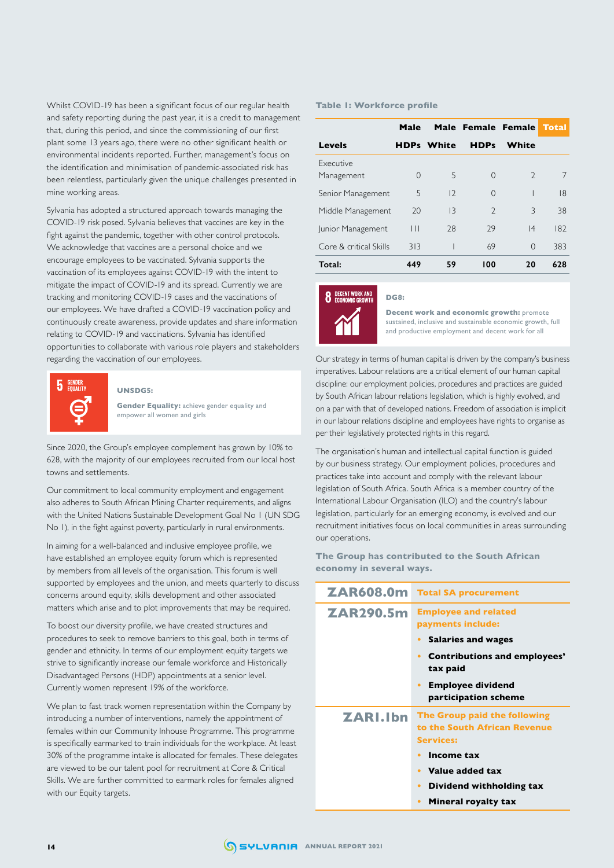Whilst COVID-19 has been a significant focus of our regular health and safety reporting during the past year, it is a credit to management that, during this period, and since the commissioning of our first plant some 13 years ago, there were no other significant health or environmental incidents reported. Further, management's focus on the identification and minimisation of pandemic-associated risk has been relentless, particularly given the unique challenges presented in mine working areas.

Sylvania has adopted a structured approach towards managing the COVID-19 risk posed. Sylvania believes that vaccines are key in the fight against the pandemic, together with other control protocols. We acknowledge that vaccines are a personal choice and we encourage employees to be vaccinated. Sylvania supports the vaccination of its employees against COVID-19 with the intent to mitigate the impact of COVID-19 and its spread. Currently we are tracking and monitoring COVID-19 cases and the vaccinations of our employees. We have drafted a COVID-19 vaccination policy and continuously create awareness, provide updates and share information relating to COVID-19 and vaccinations. Sylvania has identified opportunities to collaborate with various role players and stakeholders regarding the vaccination of our employees.



### **UNSDG5:**

**Gender Equality:** achieve gender equality and empower all women and girls

Since 2020, the Group's employee complement has grown by 10% to 628, with the majority of our employees recruited from our local host towns and settlements.

Our commitment to local community employment and engagement also adheres to South African Mining Charter requirements, and aligns with the United Nations Sustainable Development Goal No 1 (UN SDG No 1), in the fight against poverty, particularly in rural environments.

In aiming for a well-balanced and inclusive employee profile, we have established an employee equity forum which is represented by members from all levels of the organisation. This forum is well supported by employees and the union, and meets quarterly to discuss concerns around equity, skills development and other associated matters which arise and to plot improvements that may be required.

To boost our diversity profile, we have created structures and procedures to seek to remove barriers to this goal, both in terms of gender and ethnicity. In terms of our employment equity targets we strive to significantly increase our female workforce and Historically Disadvantaged Persons (HDP) appointments at a senior level. Currently women represent 19% of the workforce.

We plan to fast track women representation within the Company by introducing a number of interventions, namely the appointment of females within our Community Inhouse Programme. This programme is specifically earmarked to train individuals for the workplace. At least 30% of the programme intake is allocated for females. These delegates are viewed to be our talent pool for recruitment at Core & Critical Skills. We are further committed to earmark roles for females aligned with our Equity targets.

## **Table 1: Workforce profile**

|                         | Male     |                   | Male Female Female |               | <b>Total</b> |
|-------------------------|----------|-------------------|--------------------|---------------|--------------|
| <b>Levels</b>           |          | <b>HDPs White</b> | <b>HDPs</b>        | White         |              |
| Executive<br>Management | $\Omega$ | 5                 | $\Omega$           | $\mathcal{L}$ |              |
| Senior Management       | 5        | $\overline{2}$    | $\Omega$           |               | 18           |
| Middle Management       | 20       | $\overline{3}$    | $\mathcal{D}$      | 3             | 38           |
| Junior Management       | Ш        | 28                | 29                 | 4             | 182          |
| Core & critical Skills  | 313      |                   | 69                 | $\Omega$      | 383          |
| Total:                  | 449      | 59                | 100                | 20            | 628          |

#### **8** DECENT WORK AND **DG8:**



**Decent work and economic growth: promote** sustained, inclusive and sustainable economic growth, full and productive employment and decent work for all

Our strategy in terms of human capital is driven by the company's business imperatives. Labour relations are a critical element of our human capital discipline: our employment policies, procedures and practices are guided by South African labour relations legislation, which is highly evolved, and on a par with that of developed nations. Freedom of association is implicit in our labour relations discipline and employees have rights to organise as per their legislatively protected rights in this regard.

The organisation's human and intellectual capital function is guided by our business strategy. Our employment policies, procedures and practices take into account and comply with the relevant labour legislation of South Africa. South Africa is a member country of the International Labour Organisation (ILO) and the country's labour legislation, particularly for an emerging economy, is evolved and our recruitment initiatives focus on local communities in areas surrounding our operations.

**The Group has contributed to the South African economy in several ways.**

| <b>ZAR608.0m</b> | <b>Total SA procurement</b>                                                        |  |
|------------------|------------------------------------------------------------------------------------|--|
| <b>ZAR290.5m</b> | <b>Employee and related</b><br>payments include:<br><b>Salaries and wages</b><br>٠ |  |
|                  | <b>Contributions and employees'</b><br>۰<br>tax paid                               |  |
|                  | <b>Employee dividend</b><br>$\bullet$<br>participation scheme                      |  |
| <b>ZARI.Ibn</b>  | The Group paid the following<br>to the South African Revenue<br><b>Services:</b>   |  |
|                  | <b>Income tax</b>                                                                  |  |
|                  | Value added tax<br>$\bullet$                                                       |  |
|                  | Dividend withholding tax<br>٠                                                      |  |
|                  | <b>Mineral royalty tax</b><br>$\bullet$                                            |  |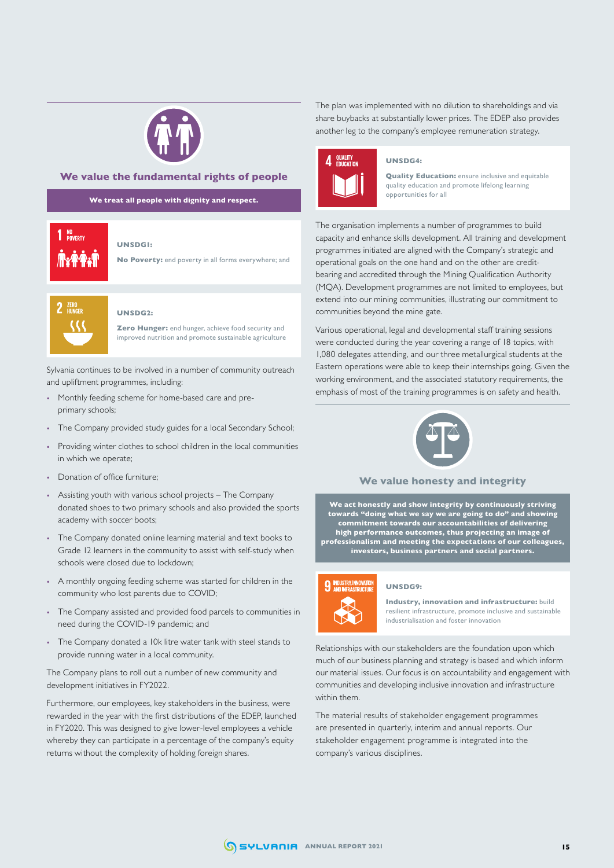

## **We value the fundamental rights of people**

## **We treat all people with dignity and respect.**

1<sup>NO</sup><br>1 POVERTY

## **UNSDG1:**

**No Poverty:** end poverty in all forms everywhere; and



## **UNSDG2:**

**Zero Hunger:** end hunger, achieve food security and improved nutrition and promote sustainable agriculture

Sylvania continues to be involved in a number of community outreach and upliftment programmes, including:

- **•** Monthly feeding scheme for home-based care and preprimary schools;
- **•** The Company provided study guides for a local Secondary School;
- **•** Providing winter clothes to school children in the local communities in which we operate;
- **•** Donation of office furniture;
- **•** Assisting youth with various school projects The Company donated shoes to two primary schools and also provided the sports academy with soccer boots;
- **•** The Company donated online learning material and text books to Grade 12 learners in the community to assist with self-study when schools were closed due to lockdown;
- **•** A monthly ongoing feeding scheme was started for children in the community who lost parents due to COVID;
- **•** The Company assisted and provided food parcels to communities in need during the COVID-19 pandemic; and
- **•** The Company donated a 10k litre water tank with steel stands to provide running water in a local community.

The Company plans to roll out a number of new community and development initiatives in FY2022.

Furthermore, our employees, key stakeholders in the business, were rewarded in the year with the first distributions of the EDEP, launched in FY2020. This was designed to give lower-level employees a vehicle whereby they can participate in a percentage of the company's equity returns without the complexity of holding foreign shares.

The plan was implemented with no dilution to shareholdings and via share buybacks at substantially lower prices. The EDEP also provides another leg to the company's employee remuneration strategy.

**UNSDG4:** 



**Quality Education:** ensure inclusive and equitable quality education and promote lifelong learning opportunities for all

The organisation implements a number of programmes to build capacity and enhance skills development. All training and development programmes initiated are aligned with the Company's strategic and operational goals on the one hand and on the other are creditbearing and accredited through the Mining Qualification Authority (MQA). Development programmes are not limited to employees, but extend into our mining communities, illustrating our commitment to communities beyond the mine gate.

Various operational, legal and developmental staff training sessions were conducted during the year covering a range of 18 topics, with 1,080 delegates attending, and our three metallurgical students at the Eastern operations were able to keep their internships going. Given the working environment, and the associated statutory requirements, the emphasis of most of the training programmes is on safety and health.



## **We value honesty and integrity**

**We act honestly and show integrity by continuously striving towards "doing what we say we are going to do" and showing commitment towards our accountabilities of delivering high performance outcomes, thus projecting an image of professionalism and meeting the expectations of our colleagues, investors, business partners and social partners.**

#### **9 INDUSTRY, INNOVATION UNSDG9:**



**Industry, innovation and infrastructure:** build resilient infrastructure, promote inclusive and sustainable industrialisation and foster innovation

Relationships with our stakeholders are the foundation upon which much of our business planning and strategy is based and which inform our material issues. Our focus is on accountability and engagement with communities and developing inclusive innovation and infrastructure within them.

The material results of stakeholder engagement programmes are presented in quarterly, interim and annual reports. Our stakeholder engagement programme is integrated into the company's various disciplines.

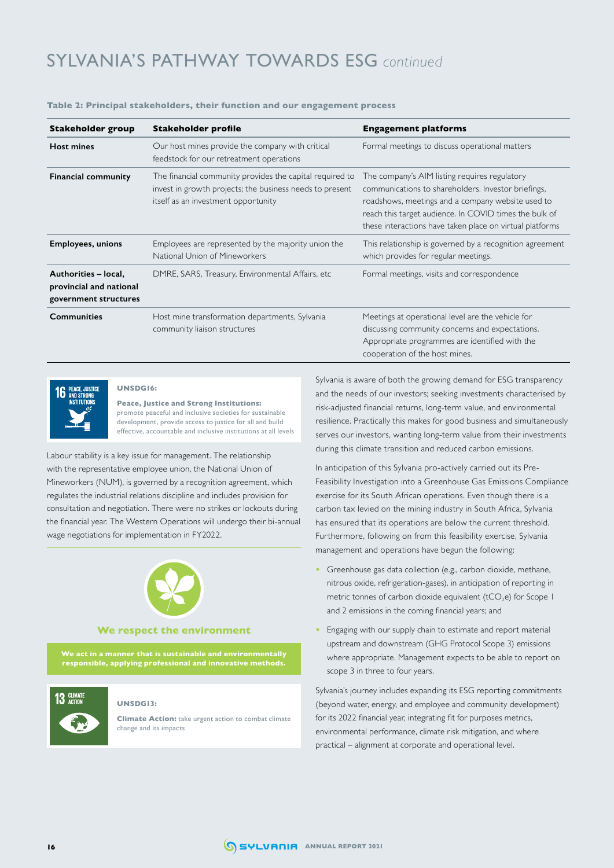## SYLVANIA'S PATHWAY TOWARDS ESG *continued*

| <b>Stakeholder group</b>                                                                             | <b>Stakeholder profile</b>                                                                                                                                  | <b>Engagement platforms</b>                                                                                                                                                                                                                                                     |  |
|------------------------------------------------------------------------------------------------------|-------------------------------------------------------------------------------------------------------------------------------------------------------------|---------------------------------------------------------------------------------------------------------------------------------------------------------------------------------------------------------------------------------------------------------------------------------|--|
| <b>Host mines</b>                                                                                    | Our host mines provide the company with critical<br>feedstock for our retreatment operations                                                                | Formal meetings to discuss operational matters                                                                                                                                                                                                                                  |  |
| <b>Financial community</b>                                                                           | The financial community provides the capital required to<br>invest in growth projects; the business needs to present<br>itself as an investment opportunity | The company's AIM listing requires regulatory<br>communications to shareholders. Investor briefings,<br>roadshows, meetings and a company website used to<br>reach this target audience. In COVID times the bulk of<br>these interactions have taken place on virtual platforms |  |
| <b>Employees, unions</b>                                                                             | Employees are represented by the majority union the<br>National Union of Mineworkers                                                                        | This relationship is governed by a recognition agreement<br>which provides for regular meetings.                                                                                                                                                                                |  |
| Authorities - local,<br>provincial and national<br>government structures                             | DMRE, SARS, Treasury, Environmental Affairs, etc.                                                                                                           | Formal meetings, visits and correspondence                                                                                                                                                                                                                                      |  |
| Host mine transformation departments, Sylvania<br><b>Communities</b><br>community liaison structures |                                                                                                                                                             | Meetings at operational level are the vehicle for<br>discussing community concerns and expectations.<br>Appropriate programmes are identified with the<br>cooperation of the host mines.                                                                                        |  |

## **Table 2: Principal stakeholders, their function and our engagement process**



## **UNSDG16:**

**Peace, Justice and Strong Institutions:**  promote peaceful and inclusive societies for sustainable development, provide access to justice for all and build effective, accountable and inclusive institutions at all levels

Labour stability is a key issue for management. The relationship with the representative employee union, the National Union of Mineworkers (NUM), is governed by a recognition agreement, which regulates the industrial relations discipline and includes provision for consultation and negotiation. There were no strikes or lockouts during the financial year. The Western Operations will undergo their bi-annual wage negotiations for implementation in FY2022.



## **We respect the environment**

**We act in a manner that is sustainable and environmentally responsible, applying professional and innovative methods.**

 $13$  CLIMATE

## **UNSDG13:**

**Climate Action:** take urgent action to combat climate change and its impacts

Sylvania is aware of both the growing demand for ESG transparency and the needs of our investors; seeking investments characterised by risk-adjusted financial returns, long-term value, and environmental resilience. Practically this makes for good business and simultaneously serves our investors, wanting long-term value from their investments during this climate transition and reduced carbon emissions.

In anticipation of this Sylvania pro-actively carried out its Pre-Feasibility Investigation into a Greenhouse Gas Emissions Compliance exercise for its South African operations. Even though there is a carbon tax levied on the mining industry in South Africa, Sylvania has ensured that its operations are below the current threshold. Furthermore, following on from this feasibility exercise, Sylvania management and operations have begun the following:

- **•** Greenhouse gas data collection (e.g., carbon dioxide, methane, nitrous oxide, refrigeration-gases), in anticipation of reporting in metric tonnes of carbon dioxide equivalent (tCO<sub>2</sub>e) for Scope 1 and 2 emissions in the coming financial years; and
- **•** Engaging with our supply chain to estimate and report material upstream and downstream (GHG Protocol Scope 3) emissions where appropriate. Management expects to be able to report on scope 3 in three to four years.

Sylvania's journey includes expanding its ESG reporting commitments (beyond water, energy, and employee and community development) for its 2022 financial year, integrating fit for purposes metrics, environmental performance, climate risk mitigation, and where practical – alignment at corporate and operational level.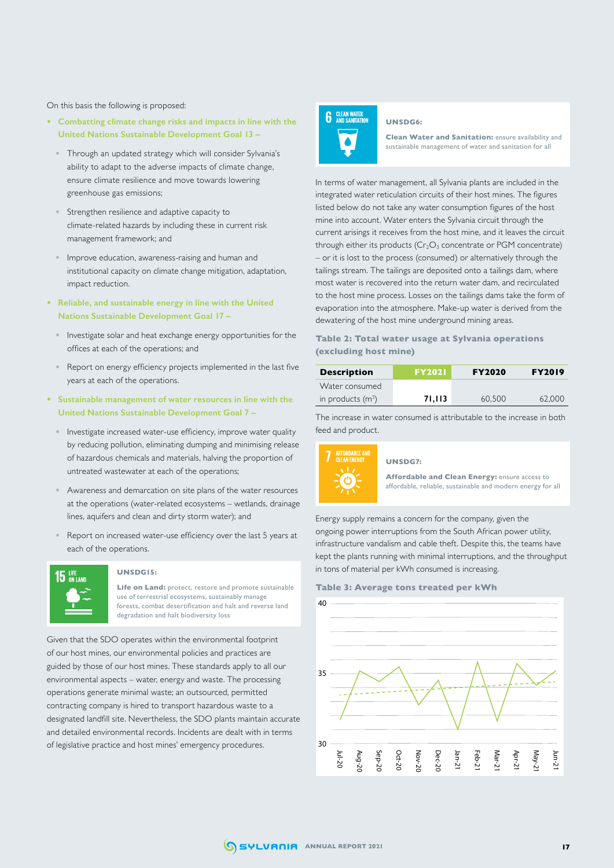On this basis the following is proposed:

- **• Combatting climate change risks and impacts in line with the United Nations Sustainable Development Goal 13 –** 
	- **•** Through an updated strategy which will consider Sylvania's ability to adapt to the adverse impacts of climate change, ensure climate resilience and move towards lowering greenhouse gas emissions;
	- **•** Strengthen resilience and adaptive capacity to climate-related hazards by including these in current risk management framework; and
	- **•** Improve education, awareness-raising and human and institutional capacity on climate change mitigation, adaptation, impact reduction.
- **• Reliable, and sustainable energy in line with the United Nations Sustainable Development Goal 17 –** 
	- **•** Investigate solar and heat exchange energy opportunities for the offices at each of the operations; and
	- **•** Report on energy efficiency projects implemented in the last five years at each of the operations.
- **• Sustainable management of water resources in line with the United Nations Sustainable Development Goal 7 –** 
	- **•** Investigate increased water-use efficiency, improve water quality by reducing pollution, eliminating dumping and minimising release of hazardous chemicals and materials, halving the proportion of untreated wastewater at each of the operations;
	- **•** Awareness and demarcation on site plans of the water resources at the operations (water-related ecosystems – wetlands, drainage lines, aquifers and clean and dirty storm water); and
	- **•** Report on increased water-use efficiency over the last 5 years at each of the operations.



## **UNSDG15:**

**Life on Land:** protect, restore and promote sustainable use of terrestrial ecosystems, sustainably manage forests, combat desertification and halt and reverse land degradation and halt biodiversity loss

Given that the SDO operates within the environmental footprint of our host mines, our environmental policies and practices are guided by those of our host mines. These standards apply to all our environmental aspects – water, energy and waste. The processing operations generate minimal waste; an outsourced, permitted contracting company is hired to transport hazardous waste to a designated landfill site. Nevertheless, the SDO plants maintain accurate and detailed environmental records. Incidents are dealt with in terms of legislative practice and host mines' emergency procedures.



### **UNSDG6:**

**Clean Water and Sanitation:** ensure availability and sustainable management of water and sanitation for all

In terms of water management, all Sylvania plants are included in the integrated water reticulation circuits of their host mines. The figures listed below do not take any water consumption figures of the host mine into account. Water enters the Sylvania circuit through the current arisings it receives from the host mine, and it leaves the circuit through either its products  $(Cr_2O_3$  concentrate or PGM concentrate) – or it is lost to the process (consumed) or alternatively through the tailings stream. The tailings are deposited onto a tailings dam, where most water is recovered into the return water dam, and recirculated to the host mine process. Losses on the tailings dams take the form of evaporation into the atmosphere. Make-up water is derived from the dewatering of the host mine underground mining areas.

## **Table 2: Total water usage at Sylvania operations (excluding host mine)**

| <b>Description</b>  | <b>FY2021</b> | <b>FY2020</b> | <b>FY2019</b> |
|---------------------|---------------|---------------|---------------|
| Water consumed      |               |               |               |
| in products $(m^3)$ | 71.113        | 60.500        | 62.000        |

The increase in water consumed is attributable to the increase in both feed and product.

#### AFFORDABLE AND<br>CLEAN ENERGY **UNSDG7:**



**Affordable and Clean Energy:** ensure access to affordable, reliable, sustainable and modern energy for all

Energy supply remains a concern for the company, given the ongoing power interruptions from the South African power utility, infrastructure vandalism and cable theft. Despite this, the teams have kept the plants running with minimal interruptions, and the throughput in tons of material per kWh consumed is increasing.

## **Table 3: Average tons treated per kWh**